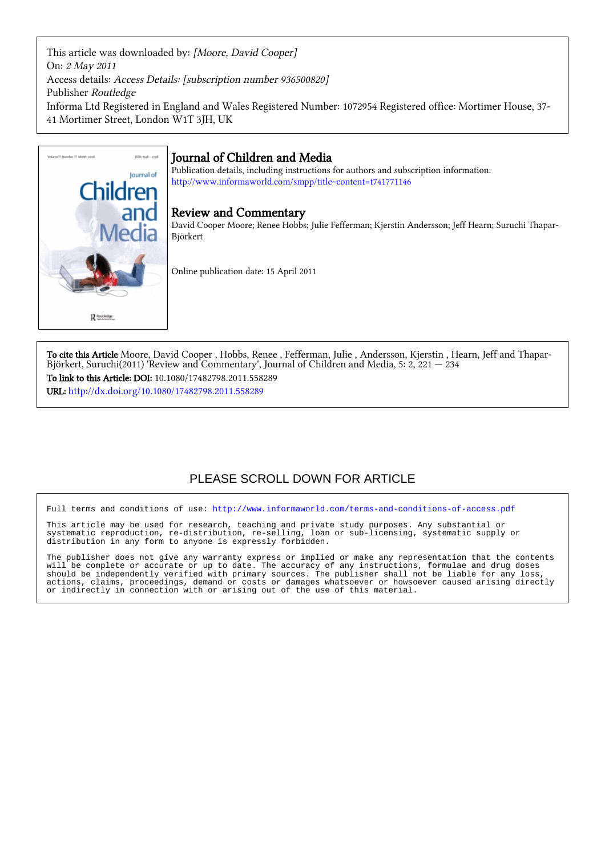This article was downloaded by: [Moore, David Cooper] On: 2 May 2011 Access details: Access Details: [subscription number 936500820] Publisher Routledge Informa Ltd Registered in England and Wales Registered Number: 1072954 Registered office: Mortimer House, 37- 41 Mortimer Street, London W1T 3JH, UK



## Journal of Children and Media

Publication details, including instructions for authors and subscription information: <http://www.informaworld.com/smpp/title~content=t741771146>

## Review and Commentary

David Cooper Moore; Renee Hobbs; Julie Fefferman; Kjerstin Andersson; Jeff Hearn; Suruchi Thapar-Björkert

Online publication date: 15 April 2011

To cite this Article Moore, David Cooper , Hobbs, Renee , Fefferman, Julie , Andersson, Kjerstin , Hearn, Jeff and Thapar-Björkert, Suruchi(2011) 'Review and Commentary', Journal of Children and Media, 5: 2, 221 — 234 To link to this Article: DOI: 10.1080/17482798.2011.558289

URL: <http://dx.doi.org/10.1080/17482798.2011.558289>

## PLEASE SCROLL DOWN FOR ARTICLE

Full terms and conditions of use:<http://www.informaworld.com/terms-and-conditions-of-access.pdf>

This article may be used for research, teaching and private study purposes. Any substantial or systematic reproduction, re-distribution, re-selling, loan or sub-licensing, systematic supply or distribution in any form to anyone is expressly forbidden.

The publisher does not give any warranty express or implied or make any representation that the contents will be complete or accurate or up to date. The accuracy of any instructions, formulae and drug doses should be independently verified with primary sources. The publisher shall not be liable for any loss, actions, claims, proceedings, demand or costs or damages whatsoever or howsoever caused arising directly or indirectly in connection with or arising out of the use of this material.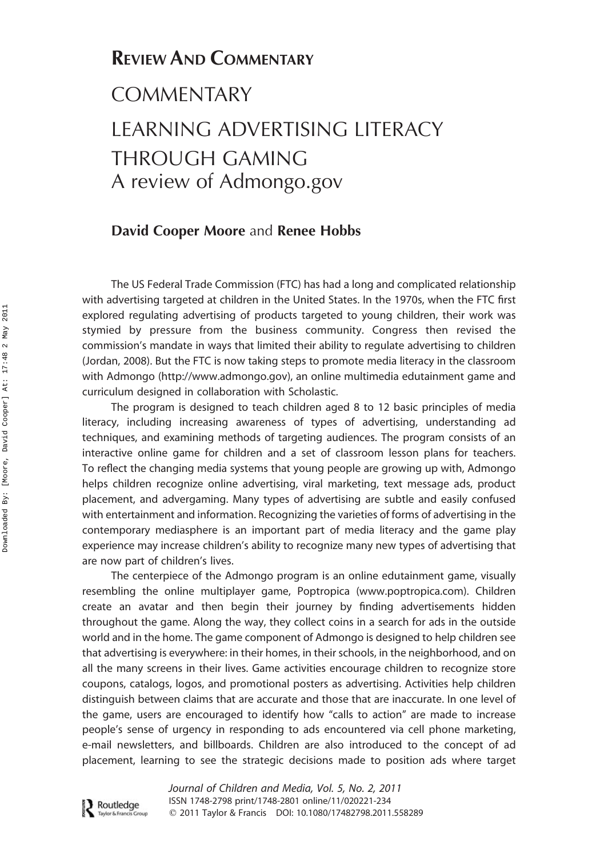# REVIEW AND COMMENTARY **COMMENTARY** LEARNING ADVERTISING LITERACY THROUGH GAMING A review of Admongo.gov

## David Cooper Moore and Renee Hobbs

The US Federal Trade Commission (FTC) has had a long and complicated relationship with advertising targeted at children in the United States. In the 1970s, when the FTC first explored regulating advertising of products targeted to young children, their work was stymied by pressure from the business community. Congress then revised the commission's mandate in ways that limited their ability to regulate advertising to children (Jordan, 2008). But the FTC is now taking steps to promote media literacy in the classroom with Admongo (http://www.admongo.gov), an online multimedia edutainment game and curriculum designed in collaboration with Scholastic.

The program is designed to teach children aged 8 to 12 basic principles of media literacy, including increasing awareness of types of advertising, understanding ad techniques, and examining methods of targeting audiences. The program consists of an interactive online game for children and a set of classroom lesson plans for teachers. To reflect the changing media systems that young people are growing up with, Admongo helps children recognize online advertising, viral marketing, text message ads, product placement, and advergaming. Many types of advertising are subtle and easily confused with entertainment and information. Recognizing the varieties of forms of advertising in the contemporary mediasphere is an important part of media literacy and the game play experience may increase children's ability to recognize many new types of advertising that are now part of children's lives.

The centerpiece of the Admongo program is an online edutainment game, visually resembling the online multiplayer game, Poptropica (www.poptropica.com). Children create an avatar and then begin their journey by finding advertisements hidden throughout the game. Along the way, they collect coins in a search for ads in the outside world and in the home. The game component of Admongo is designed to help children see that advertising is everywhere: in their homes, in their schools, in the neighborhood, and on all the many screens in their lives. Game activities encourage children to recognize store coupons, catalogs, logos, and promotional posters as advertising. Activities help children distinguish between claims that are accurate and those that are inaccurate. In one level of the game, users are encouraged to identify how "calls to action" are made to increase people's sense of urgency in responding to ads encountered via cell phone marketing, e-mail newsletters, and billboards. Children are also introduced to the concept of ad placement, learning to see the strategic decisions made to position ads where target

Routledge Taylor & Francis Group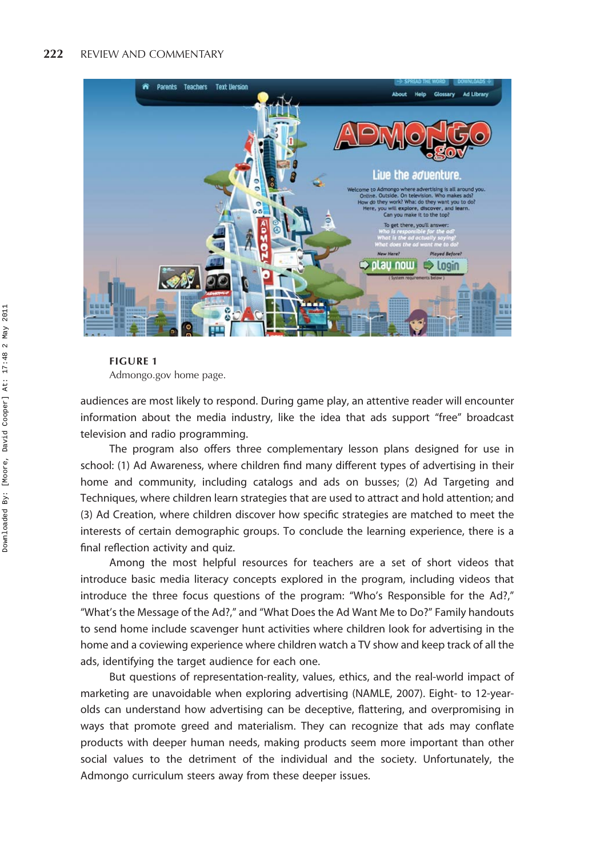

FIGURE 1 Admongo.gov home page.

audiences are most likely to respond. During game play, an attentive reader will encounter information about the media industry, like the idea that ads support "free" broadcast television and radio programming.

The program also offers three complementary lesson plans designed for use in school: (1) Ad Awareness, where children find many different types of advertising in their home and community, including catalogs and ads on busses; (2) Ad Targeting and Techniques, where children learn strategies that are used to attract and hold attention; and (3) Ad Creation, where children discover how specific strategies are matched to meet the interests of certain demographic groups. To conclude the learning experience, there is a final reflection activity and quiz.

Among the most helpful resources for teachers are a set of short videos that introduce basic media literacy concepts explored in the program, including videos that introduce the three focus questions of the program: "Who's Responsible for the Ad?," "What's the Message of the Ad?," and "What Does the Ad Want Me to Do?" Family handouts to send home include scavenger hunt activities where children look for advertising in the home and a coviewing experience where children watch a TV show and keep track of all the ads, identifying the target audience for each one.

But questions of representation-reality, values, ethics, and the real-world impact of marketing are unavoidable when exploring advertising (NAMLE, 2007). Eight- to 12-yearolds can understand how advertising can be deceptive, flattering, and overpromising in ways that promote greed and materialism. They can recognize that ads may conflate products with deeper human needs, making products seem more important than other social values to the detriment of the individual and the society. Unfortunately, the Admongo curriculum steers away from these deeper issues.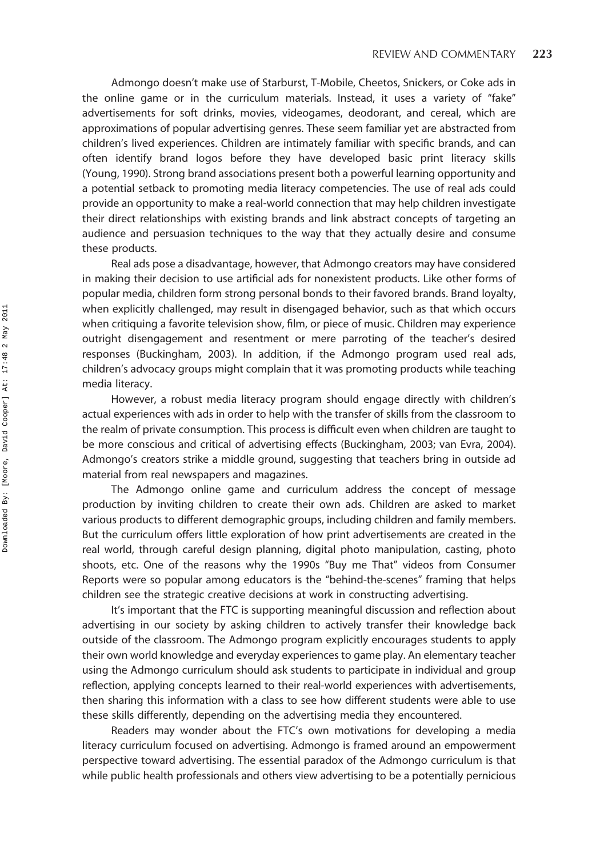Admongo doesn't make use of Starburst, T-Mobile, Cheetos, Snickers, or Coke ads in the online game or in the curriculum materials. Instead, it uses a variety of "fake" advertisements for soft drinks, movies, videogames, deodorant, and cereal, which are approximations of popular advertising genres. These seem familiar yet are abstracted from children's lived experiences. Children are intimately familiar with specific brands, and can often identify brand logos before they have developed basic print literacy skills (Young, 1990). Strong brand associations present both a powerful learning opportunity and a potential setback to promoting media literacy competencies. The use of real ads could provide an opportunity to make a real-world connection that may help children investigate their direct relationships with existing brands and link abstract concepts of targeting an audience and persuasion techniques to the way that they actually desire and consume these products.

Real ads pose a disadvantage, however, that Admongo creators may have considered in making their decision to use artificial ads for nonexistent products. Like other forms of popular media, children form strong personal bonds to their favored brands. Brand loyalty, when explicitly challenged, may result in disengaged behavior, such as that which occurs when critiquing a favorite television show, film, or piece of music. Children may experience outright disengagement and resentment or mere parroting of the teacher's desired responses (Buckingham, 2003). In addition, if the Admongo program used real ads, children's advocacy groups might complain that it was promoting products while teaching media literacy.

However, a robust media literacy program should engage directly with children's actual experiences with ads in order to help with the transfer of skills from the classroom to the realm of private consumption. This process is difficult even when children are taught to be more conscious and critical of advertising effects (Buckingham, 2003; van Evra, 2004). Admongo's creators strike a middle ground, suggesting that teachers bring in outside ad material from real newspapers and magazines.

The Admongo online game and curriculum address the concept of message production by inviting children to create their own ads. Children are asked to market various products to different demographic groups, including children and family members. But the curriculum offers little exploration of how print advertisements are created in the real world, through careful design planning, digital photo manipulation, casting, photo shoots, etc. One of the reasons why the 1990s "Buy me That" videos from Consumer Reports were so popular among educators is the "behind-the-scenes" framing that helps children see the strategic creative decisions at work in constructing advertising.

It's important that the FTC is supporting meaningful discussion and reflection about advertising in our society by asking children to actively transfer their knowledge back outside of the classroom. The Admongo program explicitly encourages students to apply their own world knowledge and everyday experiences to game play. An elementary teacher using the Admongo curriculum should ask students to participate in individual and group reflection, applying concepts learned to their real-world experiences with advertisements, then sharing this information with a class to see how different students were able to use these skills differently, depending on the advertising media they encountered.

Readers may wonder about the FTC's own motivations for developing a media literacy curriculum focused on advertising. Admongo is framed around an empowerment perspective toward advertising. The essential paradox of the Admongo curriculum is that while public health professionals and others view advertising to be a potentially pernicious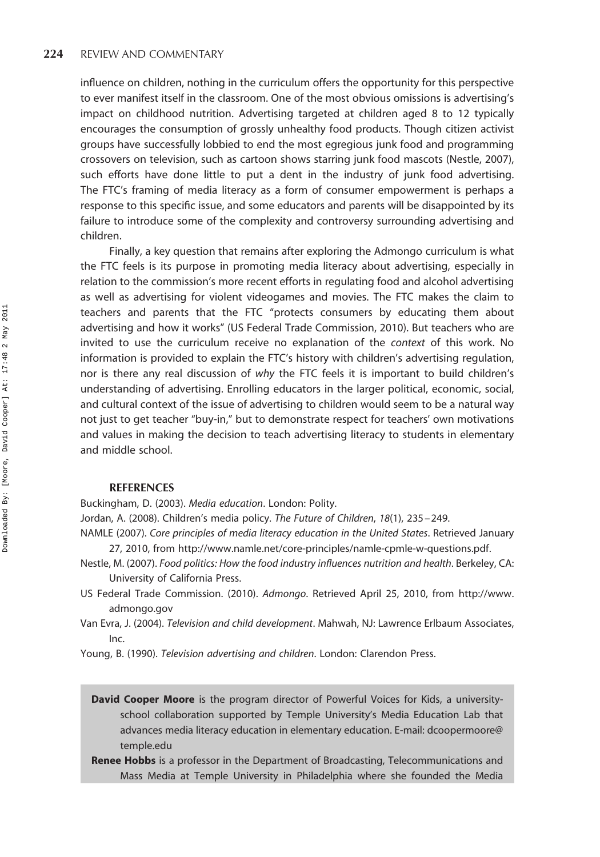influence on children, nothing in the curriculum offers the opportunity for this perspective to ever manifest itself in the classroom. One of the most obvious omissions is advertising's impact on childhood nutrition. Advertising targeted at children aged 8 to 12 typically encourages the consumption of grossly unhealthy food products. Though citizen activist groups have successfully lobbied to end the most egregious junk food and programming crossovers on television, such as cartoon shows starring junk food mascots (Nestle, 2007), such efforts have done little to put a dent in the industry of junk food advertising. The FTC's framing of media literacy as a form of consumer empowerment is perhaps a response to this specific issue, and some educators and parents will be disappointed by its failure to introduce some of the complexity and controversy surrounding advertising and children.

Finally, a key question that remains after exploring the Admongo curriculum is what the FTC feels is its purpose in promoting media literacy about advertising, especially in relation to the commission's more recent efforts in regulating food and alcohol advertising as well as advertising for violent videogames and movies. The FTC makes the claim to teachers and parents that the FTC "protects consumers by educating them about advertising and how it works" (US Federal Trade Commission, 2010). But teachers who are invited to use the curriculum receive no explanation of the context of this work. No information is provided to explain the FTC's history with children's advertising regulation, nor is there any real discussion of why the FTC feels it is important to build children's understanding of advertising. Enrolling educators in the larger political, economic, social, and cultural context of the issue of advertising to children would seem to be a natural way not just to get teacher "buy-in," but to demonstrate respect for teachers' own motivations and values in making the decision to teach advertising literacy to students in elementary and middle school.

#### **REFERENCES**

Buckingham, D. (2003). Media education. London: Polity.

Jordan, A. (2008). Children's media policy. The Future of Children, 18(1), 235–249.

- NAMLE (2007). Core principles of media literacy education in the United States. Retrieved January 27, 2010, from http://www.namle.net/core-principles/namle-cpmle-w-questions.pdf.
- Nestle, M. (2007). Food politics: How the food industry influences nutrition and health. Berkeley, CA: University of California Press.
- US Federal Trade Commission. (2010). Admongo. Retrieved April 25, 2010, from http://www. admongo.gov
- Van Evra, J. (2004). Television and child development. Mahwah, NJ: Lawrence Erlbaum Associates, Inc.
- Young, B. (1990). Television advertising and children. London: Clarendon Press.
	- David Cooper Moore is the program director of Powerful Voices for Kids, a universityschool collaboration supported by Temple University's Media Education Lab that advances media literacy education in elementary education. E-mail: dcoopermoore@ temple.edu
	- Renee Hobbs is a professor in the Department of Broadcasting, Telecommunications and Mass Media at Temple University in Philadelphia where she founded the Media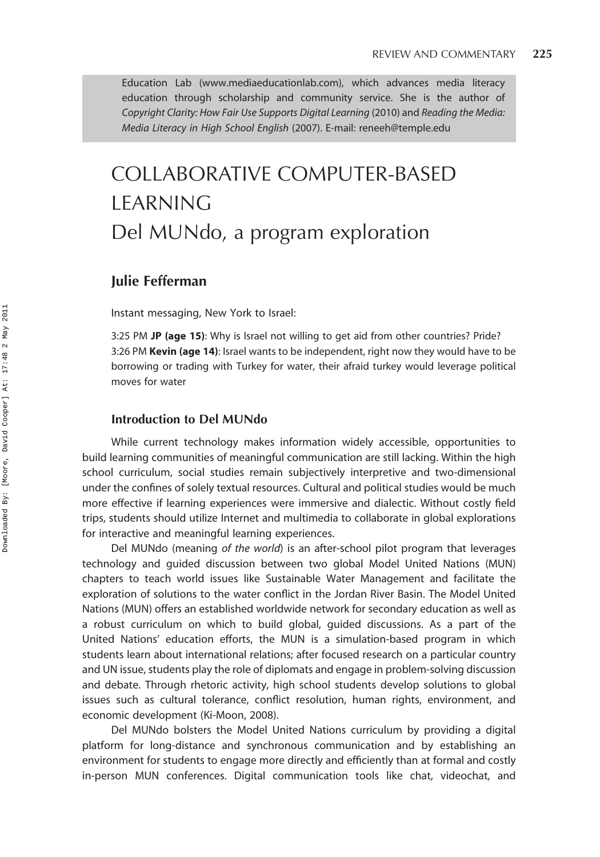Education Lab (www.mediaeducationlab.com), which advances media literacy education through scholarship and community service. She is the author of Copyright Clarity: How Fair Use Supports Digital Learning (2010) and Reading the Media: Media Literacy in High School English (2007). E-mail: reneeh@temple.edu

# COLLABORATIVE COMPUTER-BASED LEARNING Del MUNdo, a program exploration

## Julie Fefferman

Instant messaging, New York to Israel:

3:25 PM JP (age 15): Why is Israel not willing to get aid from other countries? Pride? 3:26 PM Kevin (age 14): Israel wants to be independent, right now they would have to be borrowing or trading with Turkey for water, their afraid turkey would leverage political moves for water

#### Introduction to Del MUNdo

While current technology makes information widely accessible, opportunities to build learning communities of meaningful communication are still lacking. Within the high school curriculum, social studies remain subjectively interpretive and two-dimensional under the confines of solely textual resources. Cultural and political studies would be much more effective if learning experiences were immersive and dialectic. Without costly field trips, students should utilize Internet and multimedia to collaborate in global explorations for interactive and meaningful learning experiences.

Del MUNdo (meaning of the world) is an after-school pilot program that leverages technology and guided discussion between two global Model United Nations (MUN) chapters to teach world issues like Sustainable Water Management and facilitate the exploration of solutions to the water conflict in the Jordan River Basin. The Model United Nations (MUN) offers an established worldwide network for secondary education as well as a robust curriculum on which to build global, guided discussions. As a part of the United Nations' education efforts, the MUN is a simulation-based program in which students learn about international relations; after focused research on a particular country and UN issue, students play the role of diplomats and engage in problem-solving discussion and debate. Through rhetoric activity, high school students develop solutions to global issues such as cultural tolerance, conflict resolution, human rights, environment, and economic development (Ki-Moon, 2008).

Del MUNdo bolsters the Model United Nations curriculum by providing a digital platform for long-distance and synchronous communication and by establishing an environment for students to engage more directly and efficiently than at formal and costly in-person MUN conferences. Digital communication tools like chat, videochat, and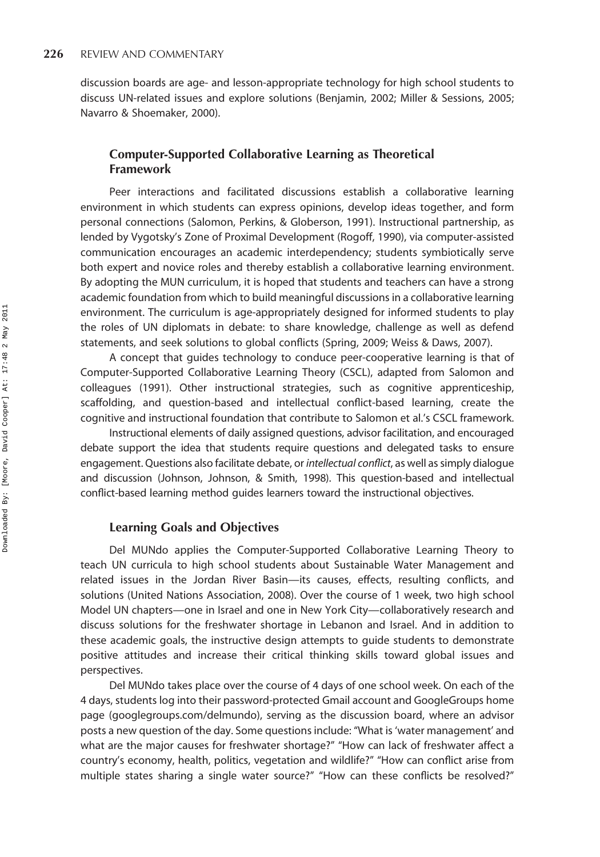discussion boards are age- and lesson-appropriate technology for high school students to discuss UN-related issues and explore solutions (Benjamin, 2002; Miller & Sessions, 2005; Navarro & Shoemaker, 2000).

### Computer-Supported Collaborative Learning as Theoretical Framework

Peer interactions and facilitated discussions establish a collaborative learning environment in which students can express opinions, develop ideas together, and form personal connections (Salomon, Perkins, & Globerson, 1991). Instructional partnership, as lended by Vygotsky's Zone of Proximal Development (Rogoff, 1990), via computer-assisted communication encourages an academic interdependency; students symbiotically serve both expert and novice roles and thereby establish a collaborative learning environment. By adopting the MUN curriculum, it is hoped that students and teachers can have a strong academic foundation from which to build meaningful discussions in a collaborative learning environment. The curriculum is age-appropriately designed for informed students to play the roles of UN diplomats in debate: to share knowledge, challenge as well as defend statements, and seek solutions to global conflicts (Spring, 2009; Weiss & Daws, 2007).

A concept that guides technology to conduce peer-cooperative learning is that of Computer-Supported Collaborative Learning Theory (CSCL), adapted from Salomon and colleagues (1991). Other instructional strategies, such as cognitive apprenticeship, scaffolding, and question-based and intellectual conflict-based learning, create the cognitive and instructional foundation that contribute to Salomon et al.'s CSCL framework.

Instructional elements of daily assigned questions, advisor facilitation, and encouraged debate support the idea that students require questions and delegated tasks to ensure engagement. Questions also facilitate debate, or intellectual conflict, as well as simply dialogue and discussion (Johnson, Johnson, & Smith, 1998). This question-based and intellectual conflict-based learning method guides learners toward the instructional objectives.

#### Learning Goals and Objectives

Del MUNdo applies the Computer-Supported Collaborative Learning Theory to teach UN curricula to high school students about Sustainable Water Management and related issues in the Jordan River Basin—its causes, effects, resulting conflicts, and solutions (United Nations Association, 2008). Over the course of 1 week, two high school Model UN chapters—one in Israel and one in New York City—collaboratively research and discuss solutions for the freshwater shortage in Lebanon and Israel. And in addition to these academic goals, the instructive design attempts to guide students to demonstrate positive attitudes and increase their critical thinking skills toward global issues and perspectives.

Del MUNdo takes place over the course of 4 days of one school week. On each of the 4 days, students log into their password-protected Gmail account and GoogleGroups home page (googlegroups.com/delmundo), serving as the discussion board, where an advisor posts a new question of the day. Some questions include: "What is 'water management' and what are the major causes for freshwater shortage?" "How can lack of freshwater affect a country's economy, health, politics, vegetation and wildlife?" "How can conflict arise from multiple states sharing a single water source?" "How can these conflicts be resolved?"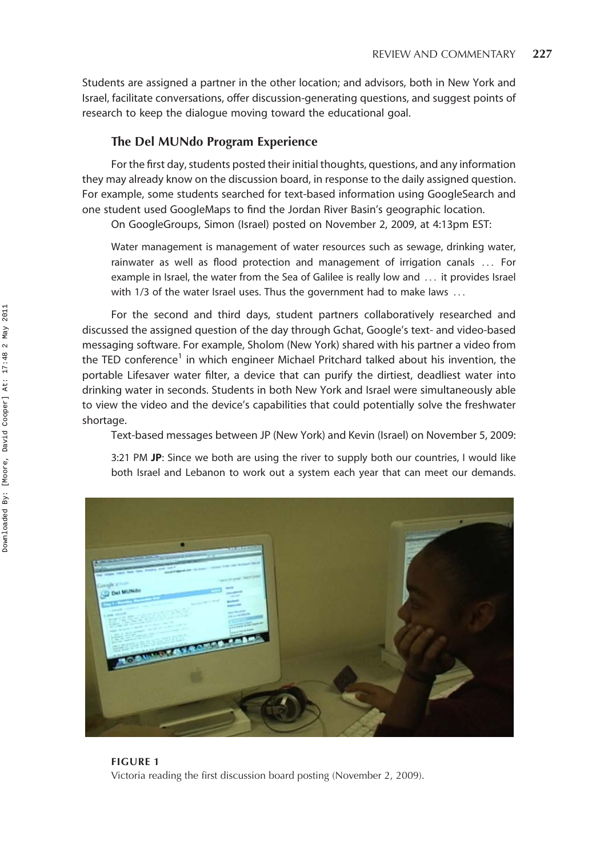Students are assigned a partner in the other location; and advisors, both in New York and Israel, facilitate conversations, offer discussion-generating questions, and suggest points of research to keep the dialogue moving toward the educational goal.

### The Del MUNdo Program Experience

For the first day, students posted their initial thoughts, questions, and any information they may already know on the discussion board, in response to the daily assigned question. For example, some students searched for text-based information using GoogleSearch and one student used GoogleMaps to find the Jordan River Basin's geographic location.

On GoogleGroups, Simon (Israel) posted on November 2, 2009, at 4:13pm EST:

Water management is management of water resources such as sewage, drinking water, rainwater as well as flood protection and management of irrigation canals ... For example in Israel, the water from the Sea of Galilee is really low and ... it provides Israel with 1/3 of the water Israel uses. Thus the government had to make laws ...

For the second and third days, student partners collaboratively researched and discussed the assigned question of the day through Gchat, Google's text- and video-based messaging software. For example, Sholom (New York) shared with his partner a video from the TED conference<sup>1</sup> in which engineer Michael Pritchard talked about his invention, the portable Lifesaver water filter, a device that can purify the dirtiest, deadliest water into drinking water in seconds. Students in both New York and Israel were simultaneously able to view the video and the device's capabilities that could potentially solve the freshwater shortage.

Text-based messages between JP (New York) and Kevin (Israel) on November 5, 2009:

3:21 PM JP: Since we both are using the river to supply both our countries, I would like both Israel and Lebanon to work out a system each year that can meet our demands.



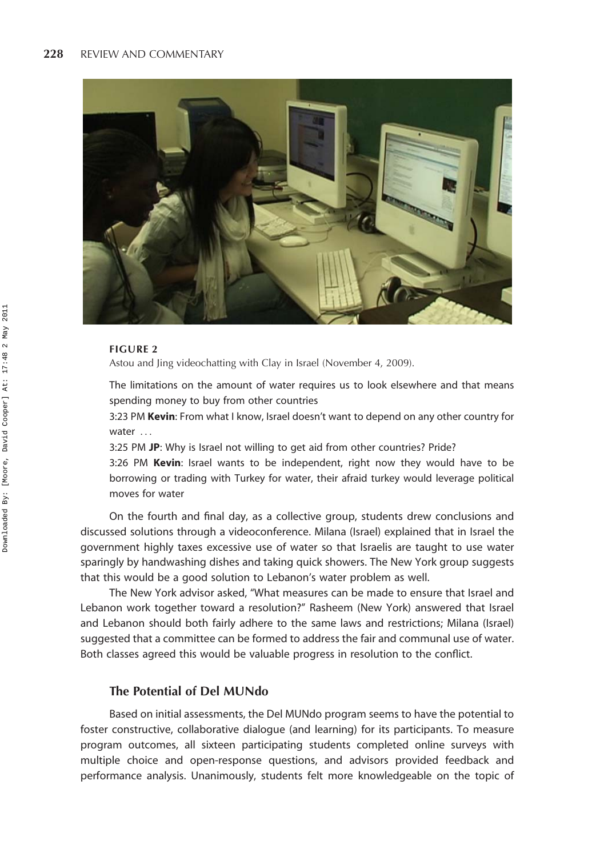

#### FIGURE 2

Astou and Jing videochatting with Clay in Israel (November 4, 2009).

The limitations on the amount of water requires us to look elsewhere and that means spending money to buy from other countries

3:23 PM Kevin: From what I know, Israel doesn't want to depend on any other country for water ...

3:25 PM JP: Why is Israel not willing to get aid from other countries? Pride?

3:26 PM Kevin: Israel wants to be independent, right now they would have to be borrowing or trading with Turkey for water, their afraid turkey would leverage political moves for water

On the fourth and final day, as a collective group, students drew conclusions and discussed solutions through a videoconference. Milana (Israel) explained that in Israel the government highly taxes excessive use of water so that Israelis are taught to use water sparingly by handwashing dishes and taking quick showers. The New York group suggests that this would be a good solution to Lebanon's water problem as well.

The New York advisor asked, "What measures can be made to ensure that Israel and Lebanon work together toward a resolution?" Rasheem (New York) answered that Israel and Lebanon should both fairly adhere to the same laws and restrictions; Milana (Israel) suggested that a committee can be formed to address the fair and communal use of water. Both classes agreed this would be valuable progress in resolution to the conflict.

## The Potential of Del MUNdo

Based on initial assessments, the Del MUNdo program seems to have the potential to foster constructive, collaborative dialogue (and learning) for its participants. To measure program outcomes, all sixteen participating students completed online surveys with multiple choice and open-response questions, and advisors provided feedback and performance analysis. Unanimously, students felt more knowledgeable on the topic of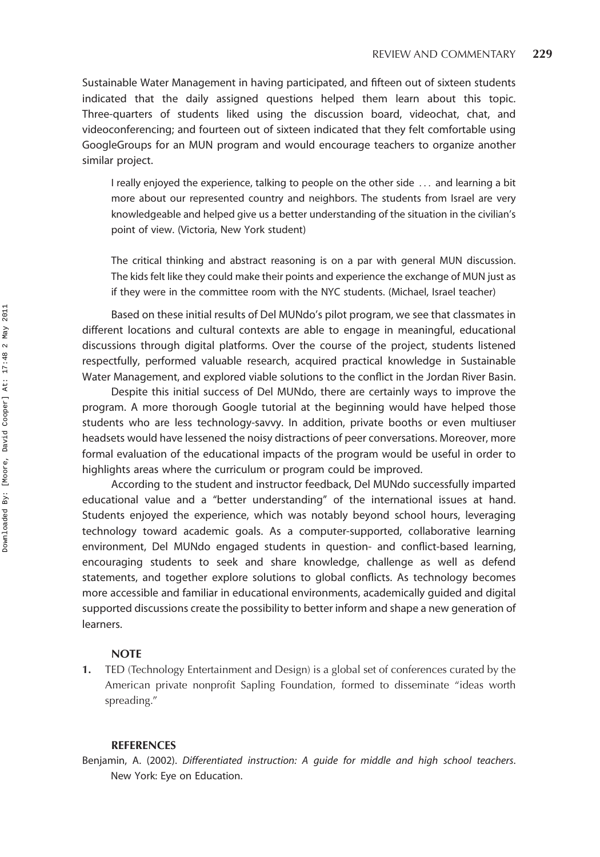Sustainable Water Management in having participated, and fifteen out of sixteen students indicated that the daily assigned questions helped them learn about this topic. Three-quarters of students liked using the discussion board, videochat, chat, and videoconferencing; and fourteen out of sixteen indicated that they felt comfortable using GoogleGroups for an MUN program and would encourage teachers to organize another similar project.

I really enjoyed the experience, talking to people on the other side ... and learning a bit more about our represented country and neighbors. The students from Israel are very knowledgeable and helped give us a better understanding of the situation in the civilian's point of view. (Victoria, New York student)

The critical thinking and abstract reasoning is on a par with general MUN discussion. The kids felt like they could make their points and experience the exchange of MUN just as if they were in the committee room with the NYC students. (Michael, Israel teacher)

Based on these initial results of Del MUNdo's pilot program, we see that classmates in different locations and cultural contexts are able to engage in meaningful, educational discussions through digital platforms. Over the course of the project, students listened respectfully, performed valuable research, acquired practical knowledge in Sustainable Water Management, and explored viable solutions to the conflict in the Jordan River Basin.

Despite this initial success of Del MUNdo, there are certainly ways to improve the program. A more thorough Google tutorial at the beginning would have helped those students who are less technology-savvy. In addition, private booths or even multiuser headsets would have lessened the noisy distractions of peer conversations. Moreover, more formal evaluation of the educational impacts of the program would be useful in order to highlights areas where the curriculum or program could be improved.

According to the student and instructor feedback, Del MUNdo successfully imparted educational value and a "better understanding" of the international issues at hand. Students enjoyed the experience, which was notably beyond school hours, leveraging technology toward academic goals. As a computer-supported, collaborative learning environment, Del MUNdo engaged students in question- and conflict-based learning, encouraging students to seek and share knowledge, challenge as well as defend statements, and together explore solutions to global conflicts. As technology becomes more accessible and familiar in educational environments, academically guided and digital supported discussions create the possibility to better inform and shape a new generation of learners.

#### **NOTE**

1. TED (Technology Entertainment and Design) is a global set of conferences curated by the American private nonprofit Sapling Foundation, formed to disseminate "ideas worth spreading."

#### **REFERENCES**

Benjamin, A. (2002). Differentiated instruction: A guide for middle and high school teachers. New York: Eye on Education.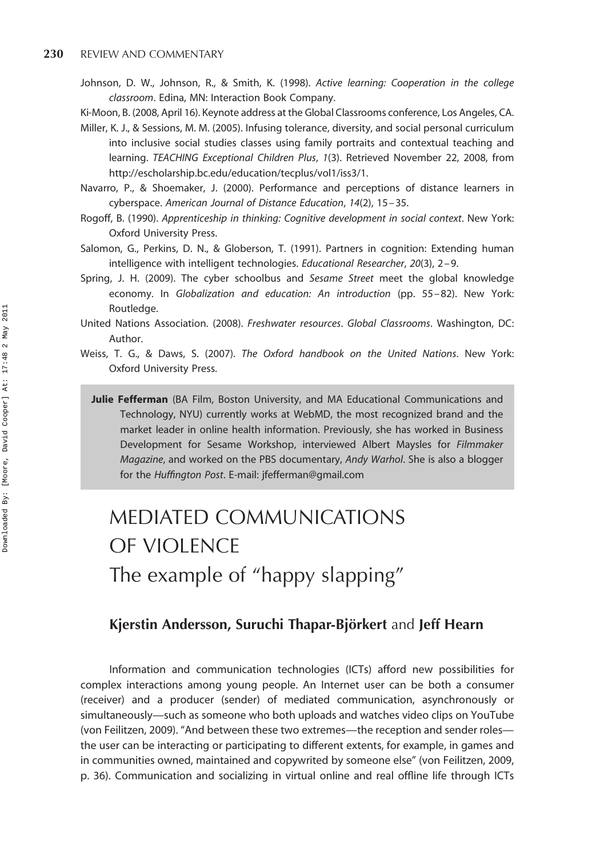Johnson, D. W., Johnson, R., & Smith, K. (1998). Active learning: Cooperation in the college classroom. Edina, MN: Interaction Book Company.

Ki-Moon, B. (2008, April 16). Keynote address at the Global Classrooms conference, Los Angeles, CA.

- Miller, K. J., & Sessions, M. M. (2005). Infusing tolerance, diversity, and social personal curriculum into inclusive social studies classes using family portraits and contextual teaching and learning. TEACHING Exceptional Children Plus, 1(3). Retrieved November 22, 2008, from http://escholarship.bc.edu/education/tecplus/vol1/iss3/1.
- Navarro, P., & Shoemaker, J. (2000). Performance and perceptions of distance learners in cyberspace. American Journal of Distance Education, 14(2), 15–35.
- Rogoff, B. (1990). Apprenticeship in thinking: Cognitive development in social context. New York: Oxford University Press.
- Salomon, G., Perkins, D. N., & Globerson, T. (1991). Partners in cognition: Extending human intelligence with intelligent technologies. Educational Researcher, 20(3), 2–9.
- Spring, J. H. (2009). The cyber schoolbus and Sesame Street meet the global knowledge economy. In Globalization and education: An introduction (pp. 55–82). New York: Routledge.
- United Nations Association. (2008). Freshwater resources. Global Classrooms. Washington, DC: Author.
- Weiss, T. G., & Daws, S. (2007). The Oxford handbook on the United Nations. New York: Oxford University Press.
	- Julie Fefferman (BA Film, Boston University, and MA Educational Communications and Technology, NYU) currently works at WebMD, the most recognized brand and the market leader in online health information. Previously, she has worked in Business Development for Sesame Workshop, interviewed Albert Maysles for Filmmaker Magazine, and worked on the PBS documentary, Andy Warhol. She is also a blogger for the Huffington Post. E-mail: jfefferman@gmail.com

# MEDIATED COMMUNICATIONS OF VIOLENCE The example of "happy slapping"

## Kjerstin Andersson, Suruchi Thapar-Björkert and Jeff Hearn

Information and communication technologies (ICTs) afford new possibilities for complex interactions among young people. An Internet user can be both a consumer (receiver) and a producer (sender) of mediated communication, asynchronously or simultaneously—such as someone who both uploads and watches video clips on YouTube (von Feilitzen, 2009). "And between these two extremes—the reception and sender roles the user can be interacting or participating to different extents, for example, in games and in communities owned, maintained and copywrited by someone else" (von Feilitzen, 2009, p. 36). Communication and socializing in virtual online and real offline life through ICTs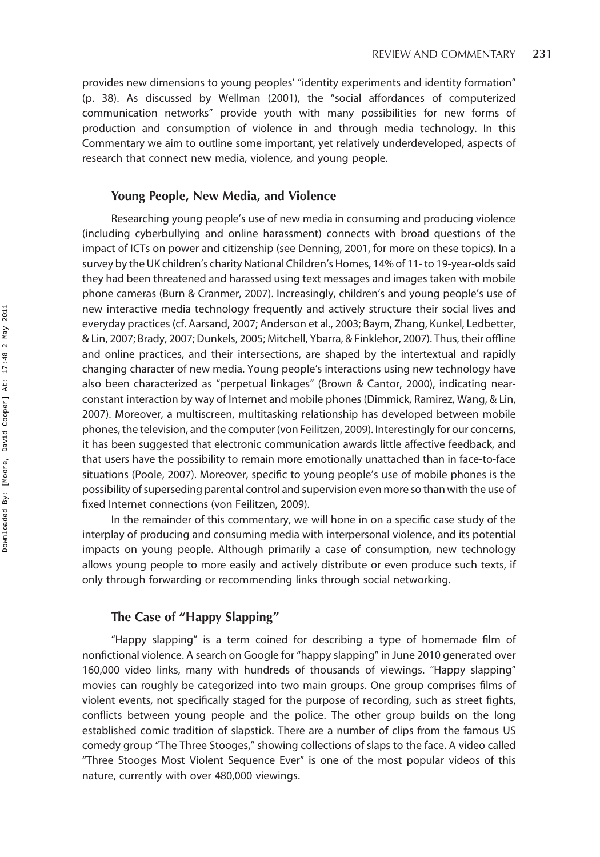provides new dimensions to young peoples' "identity experiments and identity formation" (p. 38). As discussed by Wellman (2001), the "social affordances of computerized communication networks" provide youth with many possibilities for new forms of production and consumption of violence in and through media technology. In this Commentary we aim to outline some important, yet relatively underdeveloped, aspects of research that connect new media, violence, and young people.

### Young People, New Media, and Violence

Researching young people's use of new media in consuming and producing violence (including cyberbullying and online harassment) connects with broad questions of the impact of ICTs on power and citizenship (see Denning, 2001, for more on these topics). In a survey by the UK children's charity National Children's Homes, 14% of 11- to 19-year-olds said they had been threatened and harassed using text messages and images taken with mobile phone cameras (Burn & Cranmer, 2007). Increasingly, children's and young people's use of new interactive media technology frequently and actively structure their social lives and everyday practices (cf. Aarsand, 2007; Anderson et al., 2003; Baym, Zhang, Kunkel, Ledbetter, & Lin, 2007; Brady, 2007; Dunkels, 2005; Mitchell, Ybarra, & Finklehor, 2007). Thus, their offline and online practices, and their intersections, are shaped by the intertextual and rapidly changing character of new media. Young people's interactions using new technology have also been characterized as "perpetual linkages" (Brown & Cantor, 2000), indicating nearconstant interaction by way of Internet and mobile phones (Dimmick, Ramirez, Wang, & Lin, 2007). Moreover, a multiscreen, multitasking relationship has developed between mobile phones, the television, and the computer (von Feilitzen, 2009). Interestingly for our concerns, it has been suggested that electronic communication awards little affective feedback, and that users have the possibility to remain more emotionally unattached than in face-to-face situations (Poole, 2007). Moreover, specific to young people's use of mobile phones is the possibility of superseding parental control and supervision even more so than with the use of fixed Internet connections (von Feilitzen, 2009).

In the remainder of this commentary, we will hone in on a specific case study of the interplay of producing and consuming media with interpersonal violence, and its potential impacts on young people. Although primarily a case of consumption, new technology allows young people to more easily and actively distribute or even produce such texts, if only through forwarding or recommending links through social networking.

## The Case of "Happy Slapping"

"Happy slapping" is a term coined for describing a type of homemade film of nonfictional violence. A search on Google for "happy slapping" in June 2010 generated over 160,000 video links, many with hundreds of thousands of viewings. "Happy slapping" movies can roughly be categorized into two main groups. One group comprises films of violent events, not specifically staged for the purpose of recording, such as street fights, conflicts between young people and the police. The other group builds on the long established comic tradition of slapstick. There are a number of clips from the famous US comedy group "The Three Stooges," showing collections of slaps to the face. A video called "Three Stooges Most Violent Sequence Ever" is one of the most popular videos of this nature, currently with over 480,000 viewings.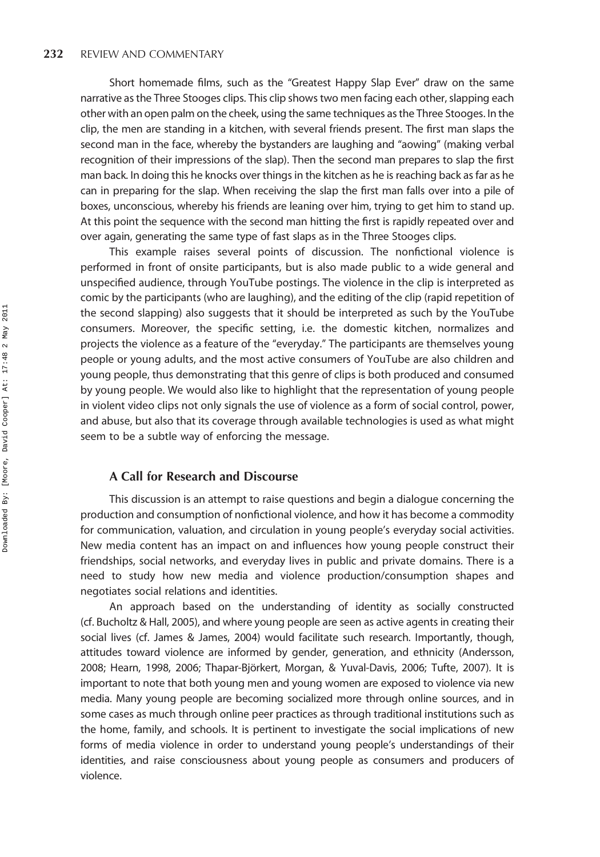Short homemade films, such as the "Greatest Happy Slap Ever" draw on the same narrative as the Three Stooges clips. This clip shows two men facing each other, slapping each other with an open palm on the cheek, using the same techniques as the Three Stooges. In the clip, the men are standing in a kitchen, with several friends present. The first man slaps the second man in the face, whereby the bystanders are laughing and "aowing" (making verbal recognition of their impressions of the slap). Then the second man prepares to slap the first man back. In doing this he knocks over things in the kitchen as he is reaching back as far as he can in preparing for the slap. When receiving the slap the first man falls over into a pile of boxes, unconscious, whereby his friends are leaning over him, trying to get him to stand up. At this point the sequence with the second man hitting the first is rapidly repeated over and over again, generating the same type of fast slaps as in the Three Stooges clips.

This example raises several points of discussion. The nonfictional violence is performed in front of onsite participants, but is also made public to a wide general and unspecified audience, through YouTube postings. The violence in the clip is interpreted as comic by the participants (who are laughing), and the editing of the clip (rapid repetition of the second slapping) also suggests that it should be interpreted as such by the YouTube consumers. Moreover, the specific setting, i.e. the domestic kitchen, normalizes and projects the violence as a feature of the "everyday." The participants are themselves young people or young adults, and the most active consumers of YouTube are also children and young people, thus demonstrating that this genre of clips is both produced and consumed by young people. We would also like to highlight that the representation of young people in violent video clips not only signals the use of violence as a form of social control, power, and abuse, but also that its coverage through available technologies is used as what might seem to be a subtle way of enforcing the message.

#### A Call for Research and Discourse

This discussion is an attempt to raise questions and begin a dialogue concerning the production and consumption of nonfictional violence, and how it has become a commodity for communication, valuation, and circulation in young people's everyday social activities. New media content has an impact on and influences how young people construct their friendships, social networks, and everyday lives in public and private domains. There is a need to study how new media and violence production/consumption shapes and negotiates social relations and identities.

An approach based on the understanding of identity as socially constructed (cf. Bucholtz & Hall, 2005), and where young people are seen as active agents in creating their social lives (cf. James & James, 2004) would facilitate such research. Importantly, though, attitudes toward violence are informed by gender, generation, and ethnicity (Andersson, 2008; Hearn, 1998, 2006; Thapar-Björkert, Morgan, & Yuval-Davis, 2006; Tufte, 2007). It is important to note that both young men and young women are exposed to violence via new media. Many young people are becoming socialized more through online sources, and in some cases as much through online peer practices as through traditional institutions such as the home, family, and schools. It is pertinent to investigate the social implications of new forms of media violence in order to understand young people's understandings of their identities, and raise consciousness about young people as consumers and producers of violence.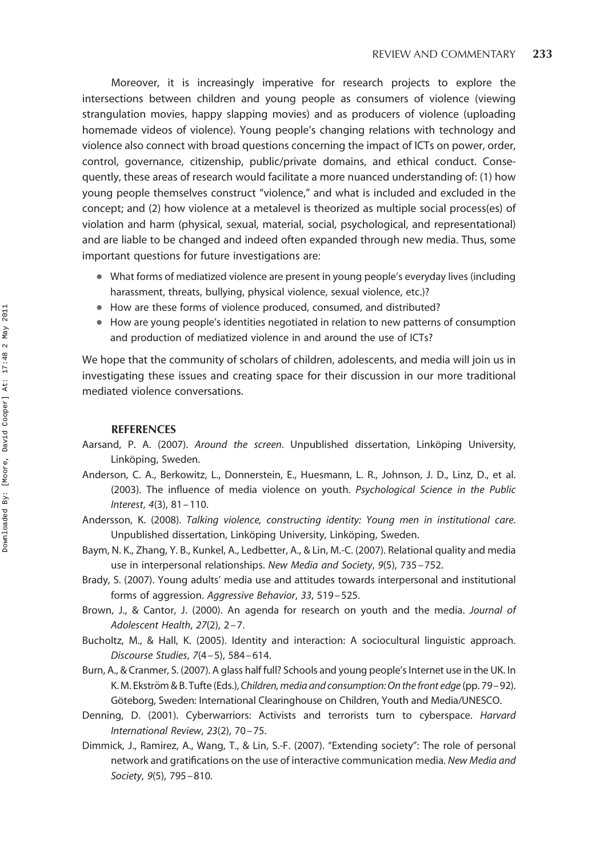Moreover, it is increasingly imperative for research projects to explore the intersections between children and young people as consumers of violence (viewing strangulation movies, happy slapping movies) and as producers of violence (uploading homemade videos of violence). Young people's changing relations with technology and violence also connect with broad questions concerning the impact of ICTs on power, order, control, governance, citizenship, public/private domains, and ethical conduct. Consequently, these areas of research would facilitate a more nuanced understanding of: (1) how young people themselves construct "violence," and what is included and excluded in the concept; and (2) how violence at a metalevel is theorized as multiple social process(es) of violation and harm (physical, sexual, material, social, psychological, and representational) and are liable to be changed and indeed often expanded through new media. Thus, some important questions for future investigations are:

- . What forms of mediatized violence are present in young people's everyday lives (including harassment, threats, bullying, physical violence, sexual violence, etc.)?
- . How are these forms of violence produced, consumed, and distributed?
- . How are young people's identities negotiated in relation to new patterns of consumption and production of mediatized violence in and around the use of ICTs?

We hope that the community of scholars of children, adolescents, and media will join us in investigating these issues and creating space for their discussion in our more traditional mediated violence conversations.

#### **REFERENCES**

- Aarsand, P. A. (2007). Around the screen. Unpublished dissertation, Linköping University, Linköping, Sweden.
- Anderson, C. A., Berkowitz, L., Donnerstein, E., Huesmann, L. R., Johnson, J. D., Linz, D., et al. (2003). The influence of media violence on youth. Psychological Science in the Public Interest, 4(3), 81–110.
- Andersson, K. (2008). Talking violence, constructing identity: Young men in institutional care. Unpublished dissertation, Linköping University, Linköping, Sweden.
- Baym, N. K., Zhang, Y. B., Kunkel, A., Ledbetter, A., & Lin, M.-C. (2007). Relational quality and media use in interpersonal relationships. New Media and Society, 9(5), 735–752.
- Brady, S. (2007). Young adults' media use and attitudes towards interpersonal and institutional forms of aggression. Aggressive Behavior, 33, 519–525.
- Brown, J., & Cantor, J. (2000). An agenda for research on youth and the media. Journal of Adolescent Health, 27(2), 2–7.
- Bucholtz, M., & Hall, K. (2005). Identity and interaction: A sociocultural linguistic approach. Discourse Studies, 7(4–5), 584–614.
- Burn, A., & Cranmer, S. (2007). A glass half full? Schools and young people's Internet use in the UK. In K. M. Ekström & B. Tufte (Eds.), Children, media and consumption: On the front edge (pp. 79–92). Göteborg, Sweden: International Clearinghouse on Children, Youth and Media/UNESCO.
- Denning, D. (2001). Cyberwarriors: Activists and terrorists turn to cyberspace. Harvard International Review, 23(2), 70–75.
- Dimmick, J., Ramirez, A., Wang, T., & Lin, S.-F. (2007). "Extending society": The role of personal network and gratifications on the use of interactive communication media. New Media and Society, 9(5), 795–810.